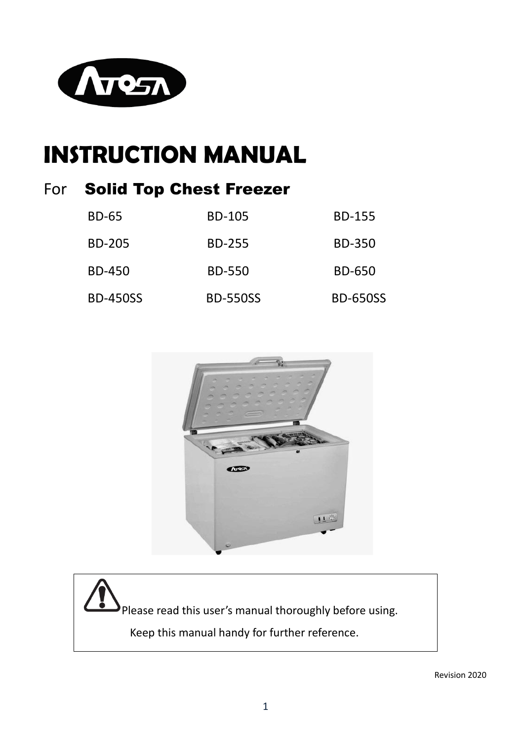

# **INSTRUCTION MANUAL**

### For Solid Top Chest Freezer

| <b>BD-65</b>    | <b>BD-105</b>   | <b>BD-155</b>   |
|-----------------|-----------------|-----------------|
| <b>BD-205</b>   | <b>BD-255</b>   | <b>BD-350</b>   |
| BD-450          | <b>BD-550</b>   | <b>BD-650</b>   |
| <b>BD-450SS</b> | <b>BD-550SS</b> | <b>BD-650SS</b> |



Please read this user's manual thoroughly before using. Keep this manual handy for further reference.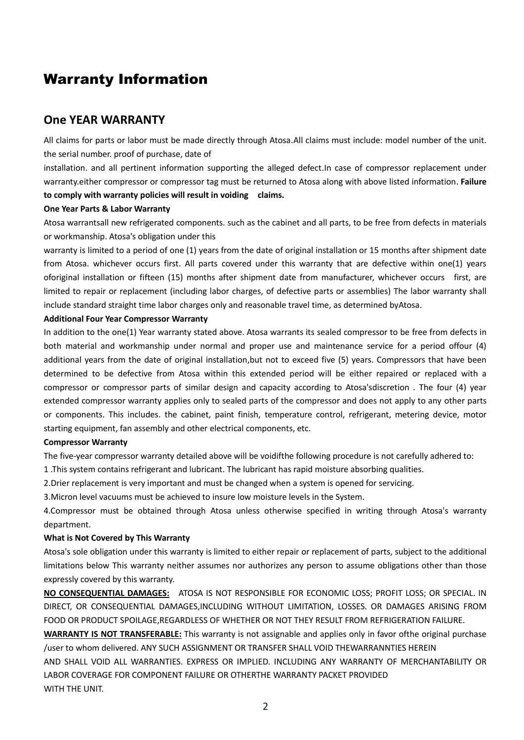### Warranty Information

#### **One YEAR WARRANTY**

All claims for parts or labor must be made directly through Atosa.All claims must include: model number of the unit. the serial number. proof of purchase, date of

installation. and all pertinent information supporting the alleged defect.In case of compressor replacement under warranty.either compressor or compressor tag must be returned to Atosa along with above listed information. **Failure to comply with warranty policies will result in voiding claims.**

#### **One Year Parts & Labor Warranty**

Atosa warrantsall new refrigerated components. such as the cabinet and all parts, to be free from defects in materials or workmanship. Atosa's obligation under this

warranty is limited to a period of one (1) years from the date of original installation or 15 months after shipment date from Atosa. whichever occurs first. All parts covered under this warranty that are defective within one(1) years oforiginal installation or fifteen (15) months after shipment date from manufacturer, whichever occurs first, are limited to repair or replacement (including labor charges, of defective parts or assemblies) The labor warranty shall include standard straight time labor charges only and reasonable travel time, as determined byAtosa.

#### **Additional Four Year Compressor Warranty**

In addition to the one(1) Year warranty stated above. Atosa warrants its sealed compressor to be free from defects in both material and workmanship under normal and proper use and maintenance service for a period offour (4) additional years from the date of original installation,but not to exceed five (5) years. Compressors that have been determined to be defective from Atosa within this extended period will be either repaired or replaced with a compressor or compressor parts of similar design and capacity according to Atosa'sdiscretion . The four (4) year extended compressor warranty applies only to sealed parts of the compressor and does not apply to any other parts or components. This includes. the cabinet, paint finish, temperature control, refrigerant, metering device, motor starting equipment, fan assembly and other electrical components, etc.

#### **Compressor Warranty**

The five-year compressor warranty detailed above will be voidifthe following procedure is not carefully adhered to:

1 .This system contains refrigerant and lubricant. The lubricant has rapid moisture absorbing qualities.

2.Drier replacement is very important and must be changed when a system is opened for servicing.

3.Micron level vacuums must be achieved to insure low moisture levels in the System.

4.Compressor must be obtained through Atosa unless otherwise specified in writing through Atosa's warranty department.

#### **What is Not Covered by This Warranty**

Atosa's sole obligation under this warranty is limited to either repair or replacement of parts, subject to the additional limitations below This warranty neither assumes nor authorizes any person to assume obligations other than those expressly covered by this warranty.

**NO CONSEQUENTIAL DAMAGES:** ATOSA IS NOT RESPONSIBLE FOR ECONOMIC LOSS; PROFIT LOSS; OR SPECIAL. IN DIRECT, OR CONSEQUENTIAL DAMAGES,INCLUDING WITHOUT LIMITATION, LOSSES. OR DAMAGES ARISING FROM FOOD OR PRODUCT SPOILAGE,REGARDLESS OF WHETHER OR NOT THEY RESULT FROM REFRIGERATION FAILURE.

**WARRANTY IS NOT TRANSFERABLE:** This warranty is not assignable and applies only in favor ofthe original purchase /user to whom delivered. ANY SUCH ASSIGNMENT OR TRANSFER SHALL VOID THEWARRANNTIES HEREIN

AND SHALL VOID ALL WARRANTIES. EXPRESS OR IMPLIED. INCLUDING ANY WARRANTY OF MERCHANTABILITY OR LABOR COVERAGE FOR COMPONENT FAILURE OR OTHERTHE WARRANTY PACKET PROVIDED WITH THE UNIT.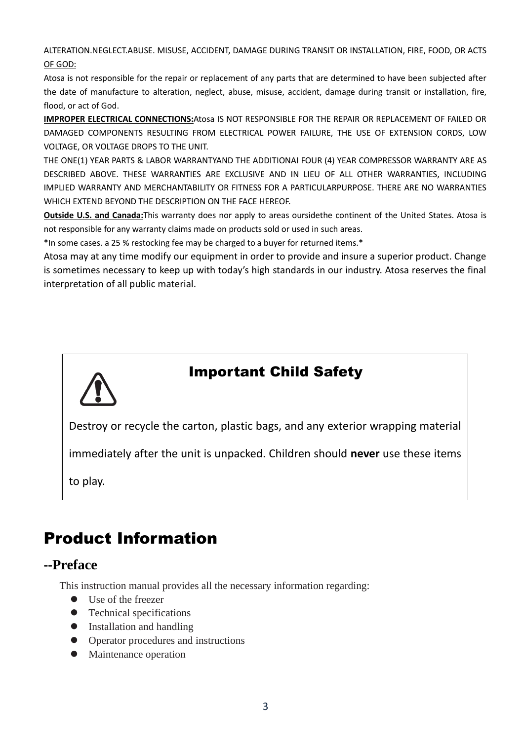#### ALTERATION.NEGLECT.ABUSE. MISUSE, ACCIDENT, DAMAGE DURING TRANSIT OR INSTALLATION, FIRE, FOOD, OR ACTS OF GOD:

Atosa is not responsible for the repair or replacement of any parts that are determined to have been subjected after the date of manufacture to alteration, neglect, abuse, misuse, accident, damage during transit or installation, fire, flood, or act of God.

**IMPROPER ELECTRICAL CONNECTIONS:**Atosa IS NOT RESPONSIBLE FOR THE REPAIR OR REPLACEMENT OF FAILED OR DAMAGED COMPONENTS RESULTING FROM ELECTRICAL POWER FAILURE, THE USE OF EXTENSION CORDS, LOW VOLTAGE, OR VOLTAGE DROPS TO THE UNIT.

THE ONE(1) YEAR PARTS & LABOR WARRANTYAND THE ADDITIONAI FOUR (4) YEAR COMPRESSOR WARRANTY ARE AS DESCRIBED ABOVE. THESE WARRANTIES ARE EXCLUSIVE AND IN LIEU OF ALL OTHER WARRANTIES, INCLUDING IMPLIED WARRANTY AND MERCHANTABILITY OR FITNESS FOR A PARTICULARPURPOSE. THERE ARE NO WARRANTIES WHICH EXTEND BEYOND THE DESCRIPTION ON THE FACE HEREOF.

**Outside U.S. and Canada:**This warranty does nor apply to areas oursidethe continent of the United States. Atosa is not responsible for any warranty claims made on products sold or used in such areas.

\*In some cases. a 25 % restocking fee may be charged to a buyer for returned items.\*

Atosa may at any time modify our equipment in order to provide and insure a superior product. Change is sometimes necessary to keep up with today's high standards in our industry. Atosa reserves the final interpretation of all public material.



### Important Child Safety

Destroy or recycle the carton, plastic bags, and any exterior wrapping material

immediately after the unit is unpacked. Children should **never** use these items

to play.

## Product Information

### **--Preface**

This instruction manual provides all the necessary information regarding:

- ⚫ Use of the freezer
- ⚫ Technical specifications
- ⚫ Installation and handling
- ⚫ Operator procedures and instructions
- ⚫ Maintenance operation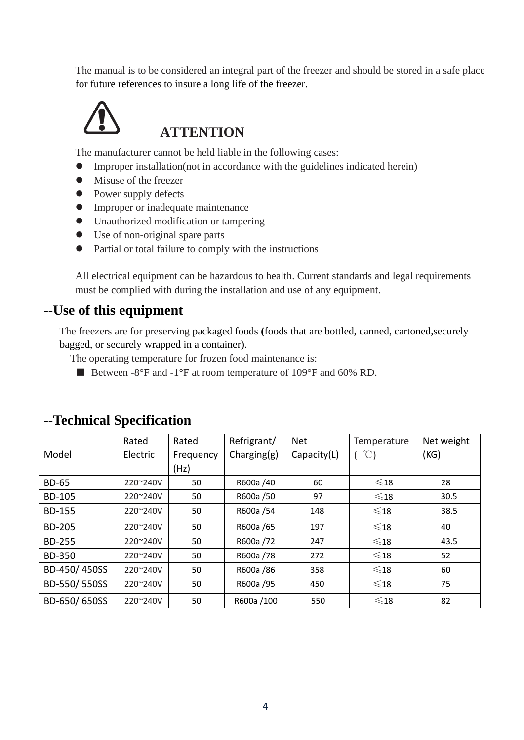The manual is to be considered an integral part of the freezer and should be stored in a safe place for future references to insure a long life of the freezer.



### **ATTENTION**

The manufacturer cannot be held liable in the following cases:

- ⚫ Improper installation(not in accordance with the guidelines indicated herein)
- ⚫ Misuse of the freezer
- Power supply defects
- **•** Improper or inadequate maintenance
- ⚫ Unauthorized modification or tampering
- ⚫ Use of non-original spare parts
- ⚫ Partial or total failure to comply with the instructions

All electrical equipment can be hazardous to health. Current standards and legal requirements must be complied with during the installation and use of any equipment.

#### **--Use of this equipment**

The freezers are for preserving packaged foods **(**foods that are bottled, canned, cartoned,securely bagged, or securely wrapped in a container).

The operating temperature for frozen food maintenance is:

■ Between -8°F and -1°F at room temperature of 109°F and 60% RD.

|               | Rated    | Rated     | Refrigrant/ | <b>Net</b>  | Temperature    | Net weight |
|---------------|----------|-----------|-------------|-------------|----------------|------------|
| Model         | Electric | Frequency | Charging(g) | Capacity(L) | °C)            | (KG)       |
|               |          | (Hz)      |             |             |                |            |
| <b>BD-65</b>  | 220~240V | 50        | R600a /40   | 60          | $\leqslant$ 18 | 28         |
| <b>BD-105</b> | 220~240V | 50        | R600a /50   | 97          | $\leqslant$ 18 | 30.5       |
| <b>BD-155</b> | 220~240V | 50        | R600a /54   | 148         | $\leqslant$ 18 | 38.5       |
| <b>BD-205</b> | 220~240V | 50        | R600a /65   | 197         | $\leqslant$ 18 | 40         |
| <b>BD-255</b> | 220~240V | 50        | R600a /72   | 247         | $\leqslant$ 18 | 43.5       |
| <b>BD-350</b> | 220~240V | 50        | R600a /78   | 272         | $\leqslant$ 18 | 52         |
| BD-450/450SS  | 220~240V | 50        | R600a /86   | 358         | $\leqslant$ 18 | 60         |
| BD-550/550SS  | 220~240V | 50        | R600a /95   | 450         | $\leqslant$ 18 | 75         |
| BD-650/650SS  | 220~240V | 50        | R600a /100  | 550         | $\leqslant$ 18 | 82         |

#### **--Technical Specification**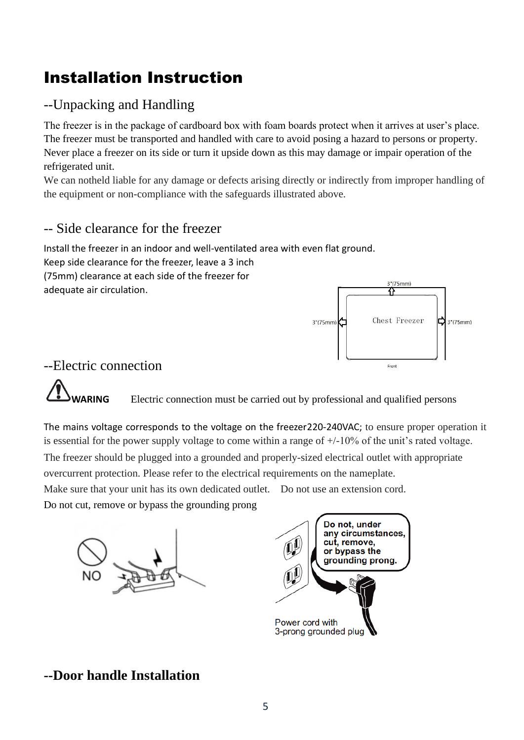## Installation Instruction

### --Unpacking and Handling

The freezer is in the package of cardboard box with foam boards protect when it arrives at user's place. The freezer must be transported and handled with care to avoid posing a hazard to persons or property. Never place a freezer on its side or turn it upside down as this may damage or impair operation of the refrigerated unit.

We can notheld liable for any damage or defects arising directly or indirectly from improper handling of the equipment or non-compliance with the safeguards illustrated above.

### -- Side clearance for the freezer

Install the freezer in an indoor and well-ventilated area with even flat ground. Keep side clearance for the freezer, leave a 3 inch (75mm) clearance at each side of the freezer for adequate air circulation.



### --Electric connection

**WARING** Electric connection must be carried out by professional and qualified persons

The mains voltage corresponds to the voltage on the freezer220-240VAC; to ensure proper operation it is essential for the power supply voltage to come within a range of +/-10% of the unit's rated voltage.

The freezer should be plugged into a grounded and properly-sized electrical outlet with appropriate overcurrent protection. Please refer to the electrical requirements on the nameplate.

Make sure that your unit has its own dedicated outlet. Do not use an extension cord.

Do not cut, remove or bypass the grounding prong





### **--Door handle Installation**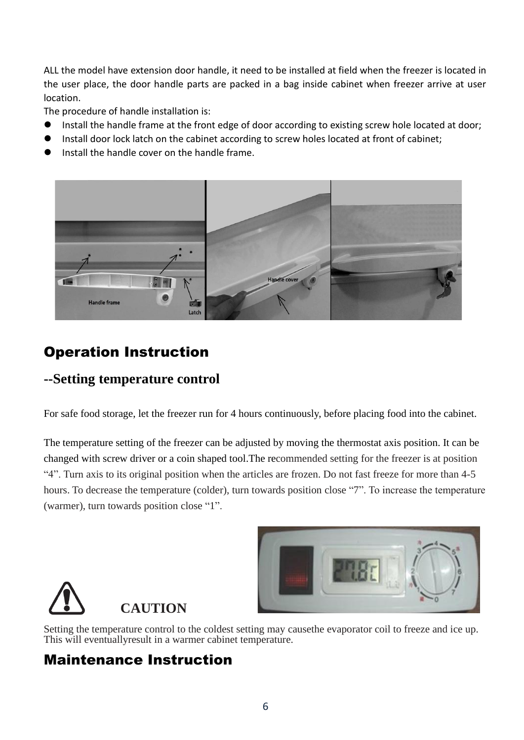ALL the model have extension door handle, it need to be installed at field when the freezer is located in the user place, the door handle parts are packed in a bag inside cabinet when freezer arrive at user location.

The procedure of handle installation is:

- ⚫ Install the handle frame at the front edge of door according to existing screw hole located at door;
- Install door lock latch on the cabinet according to screw holes located at front of cabinet;
- ⚫ Install the handle cover on the handle frame.



## Operation Instruction

### **--Setting temperature control**

For safe food storage, let the freezer run for 4 hours continuously, before placing food into the cabinet.

The temperature setting of the freezer can be adjusted by moving the thermostat axis position. It can be changed with screw driver or a coin shaped tool.The recommended setting for the freezer is at position "4". Turn axis to its original position when the articles are frozen. Do not fast freeze for more than 4-5 hours. To decrease the temperature (colder), turn towards position close "7". To increase the temperature (warmer), turn towards position close "1".





Setting the temperature control to the coldest setting may causethe evaporator coil to freeze and ice up. This will eventuallyresult in a warmer cabinet temperature.

### Maintenance Instruction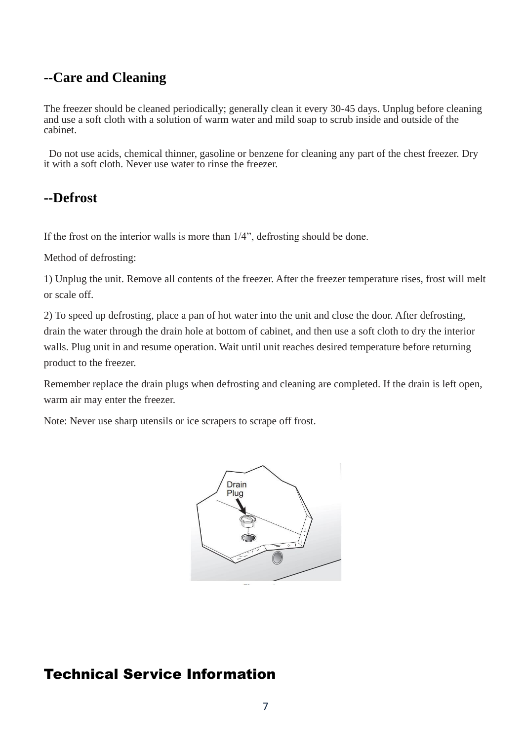### **--Care and Cleaning**

The freezer should be cleaned periodically; generally clean it every 30-45 days. Unplug before cleaning and use a soft cloth with a solution of warm water and mild soap to scrub inside and outside of the cabinet.

Do not use acids, chemical thinner, gasoline or benzene for cleaning any part of the chest freezer. Dry it with a soft cloth. Never use water to rinse the freezer.

### **--Defrost**

If the frost on the interior walls is more than 1/4", defrosting should be done.

Method of defrosting:

1) Unplug the unit. Remove all contents of the freezer. After the freezer temperature rises, frost will melt or scale off.

2) To speed up defrosting, place a pan of hot water into the unit and close the door. After defrosting, drain the water through the drain hole at bottom of cabinet, and then use a soft cloth to dry the interior walls. Plug unit in and resume operation. Wait until unit reaches desired temperature before returning product to the freezer.

Remember replace the drain plugs when defrosting and cleaning are completed. If the drain is left open, warm air may enter the freezer.

Note: Never use sharp utensils or ice scrapers to scrape off frost.



### Technical Service Information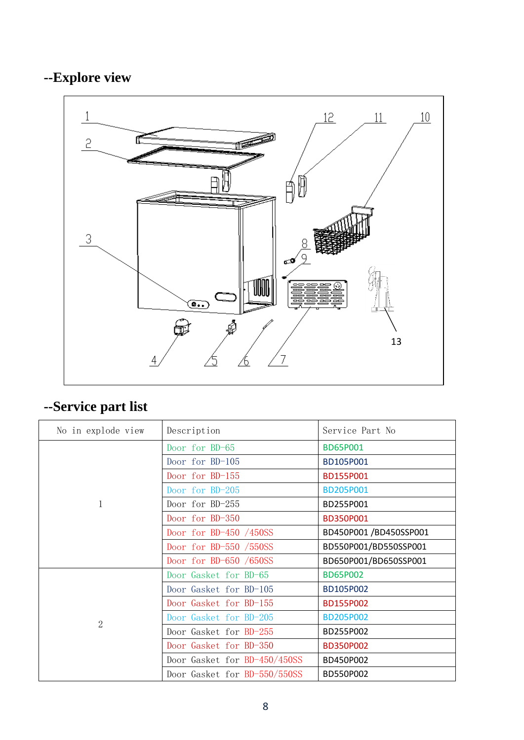## **--Explore view**



## **--Service part list**

| No in explode view | Description                  | Service Part No        |
|--------------------|------------------------------|------------------------|
| 1                  | Door for BD-65               | <b>BD65P001</b>        |
|                    | Door for BD-105              | BD105P001              |
|                    | Door for BD-155              | BD155P001              |
|                    | Door for BD-205              | <b>BD205P001</b>       |
|                    | Door for BD-255              | BD255P001              |
|                    | Door for BD-350              | BD350P001              |
|                    | Door for BD-450 $/450SS$     | BD450P001 /BD450SSP001 |
|                    | Door for BD-550 $/550SS$     | BD550P001/BD550SSP001  |
|                    | Door for BD-650 /650SS       | BD650P001/BD650SSP001  |
| $\overline{2}$     | Door Gasket for BD-65        | <b>BD65P002</b>        |
|                    | Door Gasket for BD-105       | BD105P002              |
|                    | Door Gasket for BD-155       | BD155P002              |
|                    | Door Gasket for BD-205       | <b>BD205P002</b>       |
|                    | Door Gasket for BD-255       | BD255P002              |
|                    | Door Gasket for BD-350       | <b>BD350P002</b>       |
|                    | Door Gasket for BD-450/450SS | BD450P002              |
|                    | Door Gasket for BD-550/550SS | BD550P002              |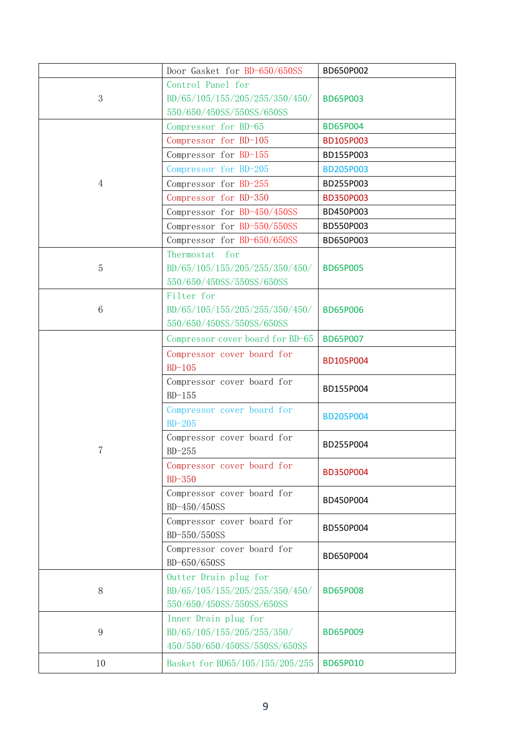|                | Door Gasket for BD-650/650SS                                                         | BD650P002        |
|----------------|--------------------------------------------------------------------------------------|------------------|
| 3              | Control Panel for<br>BD/65/105/155/205/255/350/450/                                  | <b>BD65P003</b>  |
|                | 550/650/450SS/550SS/650SS                                                            |                  |
|                | Compressor for BD-65                                                                 | <b>BD65P004</b>  |
|                | Compressor for BD-105                                                                | BD105P003        |
|                | Compressor for BD-155                                                                | BD155P003        |
|                | Compressor for BD-205                                                                | <b>BD205P003</b> |
| $\overline{4}$ | Compressor for BD-255                                                                | BD255P003        |
|                | Compressor for BD-350                                                                | <b>BD350P003</b> |
|                | Compressor for BD-450/450SS                                                          | BD450P003        |
|                | Compressor for BD-550/550SS                                                          | BD550P003        |
|                | Compressor for BD-650/650SS                                                          | BD650P003        |
|                | Thermostat for                                                                       |                  |
| $\mathbf 5$    | BD/65/105/155/205/255/350/450/                                                       | <b>BD65P005</b>  |
|                | 550/650/450SS/550SS/650SS                                                            |                  |
|                | Filter for                                                                           |                  |
| 6              | BD/65/105/155/205/255/350/450/                                                       | <b>BD65P006</b>  |
|                | 550/650/450SS/550SS/650SS                                                            |                  |
|                | Compressor cover board for BD-65                                                     | <b>BD65P007</b>  |
|                | Compressor cover board for                                                           | BD105P004        |
|                | $BD-105$                                                                             |                  |
| $\overline{7}$ | Compressor cover board for<br>$BD-155$                                               | BD155P004        |
|                | Compressor cover board for<br>$BD-205$                                               | <b>BD205P004</b> |
|                | Compressor cover board for<br>$BD-255$                                               | BD255P004        |
|                | Compressor cover board for<br>$BD-350$                                               | BD350P004        |
|                | Compressor cover board for<br>BD-450/450SS                                           | BD450P004        |
|                | Compressor cover board for<br>BD-550/550SS                                           | BD550P004        |
|                | Compressor cover board for<br>BD-650/650SS                                           | BD650P004        |
| $8\,$          | Outter Drain plug for<br>BD/65/105/155/205/255/350/450/<br>550/650/450SS/550SS/650SS | <b>BD65P008</b>  |
| $\overline{9}$ | Inner Drain plug for<br>BD/65/105/155/205/255/350/<br>450/550/650/450SS/550SS/650SS  | <b>BD65P009</b>  |
| 10             | Basket for BD65/105/155/205/255                                                      | <b>BD65P010</b>  |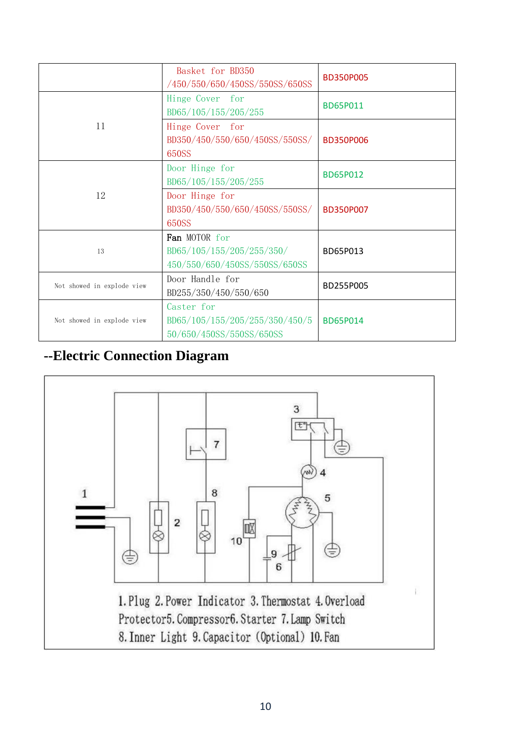|                            | Basket for BD350<br>/450/550/650/450SS/550SS/650SS                          | <b>BD350P005</b> |
|----------------------------|-----------------------------------------------------------------------------|------------------|
| 11                         | Hinge Cover for<br>BD65/105/155/205/255                                     | BD65P011         |
|                            | Hinge Cover for<br>BD350/450/550/650/450SS/550SS/<br>650SS                  | <b>BD350P006</b> |
| 12                         | Door Hinge for<br>BD65/105/155/205/255                                      | <b>BD65P012</b>  |
|                            | Door Hinge for<br>BD350/450/550/650/450SS/550SS/<br>650SS                   | BD350P007        |
| 13                         | Fan MOTOR for<br>BD65/105/155/205/255/350/<br>450/550/650/450SS/550SS/650SS | BD65P013         |
| Not showed in explode view | Door Handle for<br>BD255/350/450/550/650                                    | BD255P005        |
| Not showed in explode view | Caster for<br>BD65/105/155/205/255/350/450/5<br>50/650/450SS/550SS/650SS    | <b>BD65P014</b>  |

### **--Electric Connection Diagram**